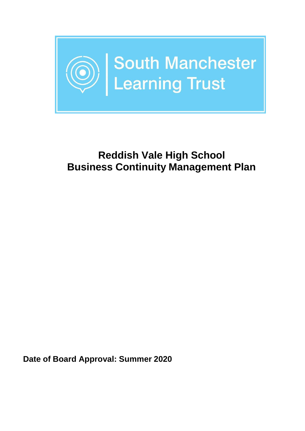

## **Reddish Vale High School Business Continuity Management Plan**

**Date of Board Approval: Summer 2020**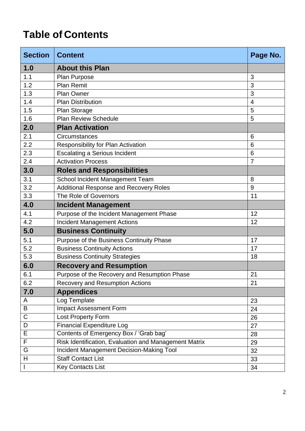# **Table of Contents**

| <b>Section</b>            | <b>Content</b>                                        | Page No.       |  |
|---------------------------|-------------------------------------------------------|----------------|--|
| 1.0                       | <b>About this Plan</b>                                |                |  |
| 1.1                       | Plan Purpose                                          | 3              |  |
| 1.2                       | <b>Plan Remit</b>                                     | 3              |  |
| 1.3                       | <b>Plan Owner</b>                                     | 3              |  |
| 1.4                       | <b>Plan Distribution</b>                              | $\overline{4}$ |  |
| 1.5                       | Plan Storage                                          | 5              |  |
| 1.6                       | <b>Plan Review Schedule</b>                           | 5              |  |
| 2.0                       | <b>Plan Activation</b>                                |                |  |
| 2.1                       | Circumstances                                         | 6              |  |
| 2.2                       | <b>Responsibility for Plan Activation</b>             | 6              |  |
| 2.3                       | <b>Escalating a Serious Incident</b>                  | 6              |  |
| 2.4                       | <b>Activation Process</b>                             | $\overline{7}$ |  |
| 3.0                       | <b>Roles and Responsibilities</b>                     |                |  |
| 3.1                       | School Incident Management Team                       | 8              |  |
| 3.2                       | Additional Response and Recovery Roles                | 9              |  |
| 3.3                       | The Role of Governors<br>11                           |                |  |
| 4.0                       | <b>Incident Management</b>                            |                |  |
| 4.1                       | Purpose of the Incident Management Phase              | 12             |  |
| 4.2                       | <b>Incident Management Actions</b>                    | 12             |  |
| 5.0                       | <b>Business Continuity</b>                            |                |  |
| 5.1                       | Purpose of the Business Continuity Phase              | 17             |  |
| 5.2                       | <b>Business Continuity Actions</b>                    | 17             |  |
| 5.3                       | <b>Business Continuity Strategies</b>                 | 18             |  |
| 6.0                       | <b>Recovery and Resumption</b>                        |                |  |
| 6.1                       | Purpose of the Recovery and Resumption Phase          | 21             |  |
| 6.2                       | <b>Recovery and Resumption Actions</b>                | 21             |  |
| 7.0                       | <b>Appendices</b>                                     |                |  |
| A                         | Log Template                                          | 23             |  |
| B                         | <b>Impact Assessment Form</b>                         | 24             |  |
| C                         | <b>Lost Property Form</b>                             | 26             |  |
| D                         | <b>Financial Expenditure Log</b>                      | 27             |  |
| Е                         | Contents of Emergency Box / 'Grab bag'                | 28             |  |
| F                         | Risk Identification, Evaluation and Management Matrix | 29             |  |
| G                         | <b>Incident Management Decision-Making Tool</b>       | 32             |  |
| $\boldsymbol{\mathsf{H}}$ | <b>Staff Contact List</b>                             | 33             |  |
| $\mathsf{I}$              | <b>Key Contacts List</b>                              | 34             |  |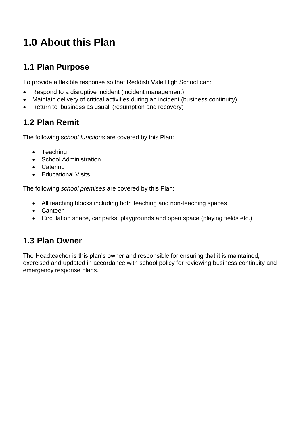# **1.0 About this Plan**

### **1.1 Plan Purpose**

To provide a flexible response so that Reddish Vale High School can:

- Respond to a disruptive incident (incident management)
- Maintain delivery of critical activities during an incident (business continuity)
- Return to 'business as usual' (resumption and recovery)

## **1.2 Plan Remit**

The following s*chool functions* are covered by this Plan:

- Teaching
- School Administration
- Catering
- Educational Visits

The following *school premises* are covered by this Plan:

- All teaching blocks including both teaching and non-teaching spaces
- Canteen
- Circulation space, car parks, playgrounds and open space (playing fields etc.)

## **1.3 Plan Owner**

The Headteacher is this plan's owner and responsible for ensuring that it is maintained, exercised and updated in accordance with school policy for reviewing business continuity and emergency response plans.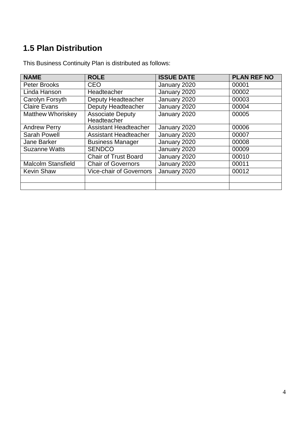## **1.5 Plan Distribution**

| <b>NAME</b>               | <b>ROLE</b>                            | <b>ISSUE DATE</b> | <b>PLAN REF NO</b> |
|---------------------------|----------------------------------------|-------------------|--------------------|
| <b>Peter Brooks</b>       | <b>CEO</b>                             | January 2020      | 00001              |
| Linda Hanson              | Headteacher                            | January 2020      | 00002              |
| <b>Carolyn Forsyth</b>    | Deputy Headteacher                     | January 2020      | 00003              |
| <b>Claire Evans</b>       | Deputy Headteacher                     | January 2020      | 00004              |
| <b>Matthew Whoriskey</b>  | <b>Associate Deputy</b><br>Headteacher | January 2020      | 00005              |
| <b>Andrew Perry</b>       | <b>Assistant Headteacher</b>           | January 2020      | 00006              |
| <b>Sarah Powell</b>       | Assistant Headteacher                  | January 2020      | 00007              |
| Jane Barker               | <b>Business Manager</b>                | January 2020      | 00008              |
| <b>Suzanne Watts</b>      | <b>SENDCO</b>                          | January 2020      | 00009              |
|                           | <b>Chair of Trust Board</b>            | January 2020      | 00010              |
| <b>Malcolm Stansfield</b> | <b>Chair of Governors</b>              | January 2020      | 00011              |
| <b>Kevin Shaw</b>         | <b>Vice-chair of Governors</b>         | January 2020      | 00012              |
|                           |                                        |                   |                    |
|                           |                                        |                   |                    |

This Business Continuity Plan is distributed as follows: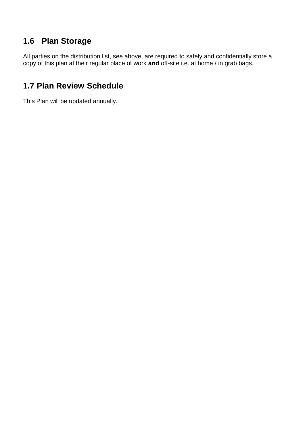## **1.6 Plan Storage**

All parties on the distribution list, see above, are required to safely and confidentially store a copy of this plan at their regular place of work **and** off-site i.e. at home / in grab bags.

### **1.7 Plan Review Schedule**

This Plan will be updated annually.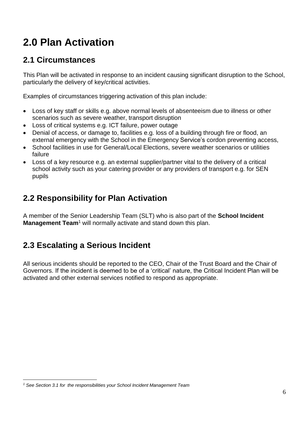# **2.0 Plan Activation**

### **2.1 Circumstances**

This Plan will be activated in response to an incident causing significant disruption to the School, particularly the delivery of key/critical activities.

Examples of circumstances triggering activation of this plan include:

- Loss of key staff or skills e.g. above normal levels of absenteeism due to illness or other scenarios such as severe weather, transport disruption
- Loss of critical systems e.g. ICT failure, power outage
- Denial of access, or damage to, facilities e.g. loss of a building through fire or flood, an external emergency with the School in the Emergency Service's cordon preventing access,
- School facilities in use for General/Local Elections, severe weather scenarios or utilities failure
- Loss of a key resource e.g. an external supplier/partner vital to the delivery of a critical school activity such as your catering provider or any providers of transport e.g. for SEN pupils

## **2.2 Responsibility for Plan Activation**

A member of the Senior Leadership Team (SLT) who is also part of the **School Incident Management Team<sup>1</sup>** will normally activate and stand down this plan.

## **2.3 Escalating a Serious Incident**

All serious incidents should be reported to the CEO, Chair of the Trust Board and the Chair of Governors. If the incident is deemed to be of a 'critical' nature, the Critical Incident Plan will be activated and other external services notified to respond as appropriate.

*<sup>1</sup> See Section 3.1 for the responsibilities your School Incident Management Team*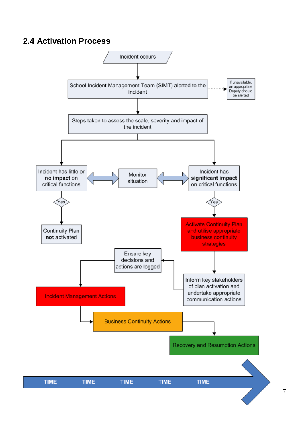### **2.4 Activation Process**

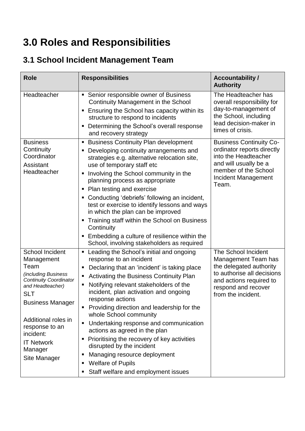# **3.0 Roles and Responsibilities**

## **3.1 School Incident Management Team**

| <b>Role</b>                                                                                                                                                                                                                                                             | <b>Responsibilities</b>                                                                                                                                                                                                                                                                                                                                                                                                                                                                                                                                                                                                                                   | <b>Accountability /</b><br><b>Authority</b>                                                                                                                                  |
|-------------------------------------------------------------------------------------------------------------------------------------------------------------------------------------------------------------------------------------------------------------------------|-----------------------------------------------------------------------------------------------------------------------------------------------------------------------------------------------------------------------------------------------------------------------------------------------------------------------------------------------------------------------------------------------------------------------------------------------------------------------------------------------------------------------------------------------------------------------------------------------------------------------------------------------------------|------------------------------------------------------------------------------------------------------------------------------------------------------------------------------|
| Headteacher                                                                                                                                                                                                                                                             | Senior responsible owner of Business<br>Ξ<br>Continuity Management in the School<br>Ensuring the School has capacity within its<br>ш<br>structure to respond to incidents<br>Determining the School's overall response<br>п<br>and recovery strategy                                                                                                                                                                                                                                                                                                                                                                                                      | The Headteacher has<br>overall responsibility for<br>day-to-management of<br>the School, including<br>lead decision-maker in<br>times of crisis.                             |
| <b>Business</b><br>Continuity<br>Coordinator<br>Assistant<br>Headteacher                                                                                                                                                                                                | <b>Business Continuity Plan development</b><br>п<br>Developing continuity arrangements and<br>п<br>strategies e.g. alternative relocation site,<br>use of temporary staff etc<br>Involving the School community in the<br>п<br>planning process as appropriate<br>Plan testing and exercise<br>٠<br>Conducting 'debriefs' following an incident,<br>п<br>test or exercise to identify lessons and ways<br>in which the plan can be improved<br>Training staff within the School on Business<br>ш<br>Continuity<br>Embedding a culture of resilience within the<br>Ξ<br>School, involving stakeholders as required                                         | <b>Business Continuity Co-</b><br>ordinator reports directly<br>into the Headteacher<br>and will usually be a<br>member of the School<br><b>Incident Management</b><br>Team. |
| <b>School Incident</b><br>Management<br>Team<br>(including Business<br><b>Continuity Coordinator</b><br>and Headteacher)<br><b>SLT</b><br><b>Business Manager</b><br>Additional roles in<br>response to an<br>incident:<br><b>IT Network</b><br>Manager<br>Site Manager | Leading the School's initial and ongoing<br>п<br>response to an incident<br>Declaring that an 'incident' is taking place<br>٠<br>Activating the Business Continuity Plan<br>Ξ<br>Notifying relevant stakeholders of the<br>п<br>incident, plan activation and ongoing<br>response actions<br>Providing direction and leadership for the<br>٠<br>whole School community<br>Undertaking response and communication<br>٠<br>actions as agreed in the plan<br>Prioritising the recovery of key activities<br>п<br>disrupted by the incident<br>Managing resource deployment<br>Е<br><b>Welfare of Pupils</b><br>п<br>Staff welfare and employment issues<br>٠ | The School Incident<br>Management Team has<br>the delegated authority<br>to authorise all decisions<br>and actions required to<br>respond and recover<br>from the incident.  |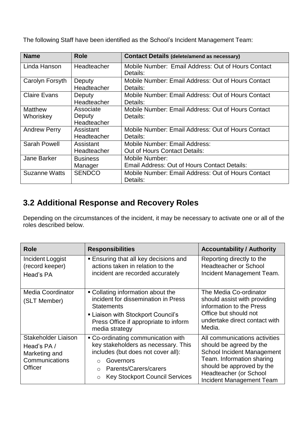The following Staff have been identified as the School's Incident Management Team:

| <b>Name</b>                 | <b>Role</b>                        | <b>Contact Details (delete/amend as necessary)</b>                    |
|-----------------------------|------------------------------------|-----------------------------------------------------------------------|
| Linda Hanson                | Headteacher                        | Mobile Number: Email Address: Out of Hours Contact<br>Details:        |
| Carolyn Forsyth             | Deputy<br>Headteacher              | Mobile Number: Email Address: Out of Hours Contact<br>Details:        |
| <b>Claire Evans</b>         | Deputy<br>Headteacher              | Mobile Number: Email Address: Out of Hours Contact<br>Details:        |
| <b>Matthew</b><br>Whoriskey | Associate<br>Deputy<br>Headteacher | Mobile Number: Email Address: Out of Hours Contact<br>Details:        |
| <b>Andrew Perry</b>         | Assistant<br>Headteacher           | Mobile Number: Email Address: Out of Hours Contact<br>Details:        |
| <b>Sarah Powell</b>         | Assistant<br>Headteacher           | Mobile Number: Email Address:<br><b>Out of Hours Contact Details:</b> |
| <b>Jane Barker</b>          | <b>Business</b><br>Manager         | Mobile Number:<br>Email Address: Out of Hours Contact Details:        |
| Suzanne Watts               | <b>SENDCO</b>                      | Mobile Number: Email Address: Out of Hours Contact<br>Details:        |

## **3.2 Additional Response and Recovery Roles**

Depending on the circumstances of the incident, it may be necessary to activate one or all of the roles described below.

| <b>Role</b>                                                                     | <b>Responsibilities</b>                                                                                                                                                                                                 | <b>Accountability / Authority</b>                                                                                                                                                                      |
|---------------------------------------------------------------------------------|-------------------------------------------------------------------------------------------------------------------------------------------------------------------------------------------------------------------------|--------------------------------------------------------------------------------------------------------------------------------------------------------------------------------------------------------|
| Incident Loggist<br>(record keeper)<br>Head's PA                                | <b>Ensuring that all key decisions and</b><br>actions taken in relation to the<br>incident are recorded accurately                                                                                                      | Reporting directly to the<br><b>Headteacher or School</b><br>Incident Management Team.                                                                                                                 |
| Media Coordinator<br>(SLT Member)                                               | • Collating information about the<br>incident for dissemination in Press<br><b>Statements</b><br>■ Liaison with Stockport Council's<br>Press Office if appropriate to inform<br>media strategy                          | The Media Co-ordinator<br>should assist with providing<br>information to the Press<br>Office but should not<br>undertake direct contact with<br>Media.                                                 |
| Stakeholder Liaison<br>Head's PA/<br>Marketing and<br>Communications<br>Officer | • Co-ordinating communication with<br>key stakeholders as necessary. This<br>includes (but does not cover all):<br>Governors<br>Parents/Carers/carers<br>$\bigcirc$<br><b>Key Stockport Council Services</b><br>$\circ$ | All communications activities<br>should be agreed by the<br>School Incident Management<br>Team. Information sharing<br>should be approved by the<br>Headteacher (or School<br>Incident Management Team |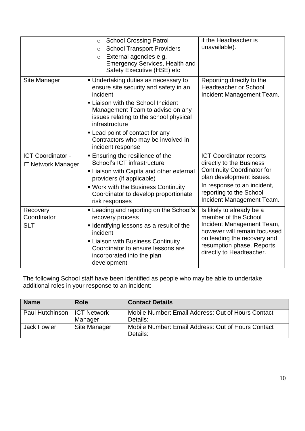|                                                       | <b>School Crossing Patrol</b><br>$\circ$<br><b>School Transport Providers</b><br>$\circ$<br>External agencies e.g.<br>$\circ$<br><b>Emergency Services, Health and</b><br>Safety Executive (HSE) etc                                                      | if the Headteacher is<br>unavailable).                                                                                                                                                                 |
|-------------------------------------------------------|-----------------------------------------------------------------------------------------------------------------------------------------------------------------------------------------------------------------------------------------------------------|--------------------------------------------------------------------------------------------------------------------------------------------------------------------------------------------------------|
| Site Manager                                          | • Undertaking duties as necessary to<br>ensure site security and safety in an<br>incident<br>Liaison with the School Incident<br>Management Team to advise on any<br>issues relating to the school physical<br>infrastructure                             | Reporting directly to the<br><b>Headteacher or School</b><br>Incident Management Team.                                                                                                                 |
|                                                       | • Lead point of contact for any<br>Contractors who may be involved in<br>incident response                                                                                                                                                                |                                                                                                                                                                                                        |
| <b>ICT Coordinator -</b><br><b>IT Network Manager</b> | <b>Ensuring the resilience of the</b><br>School's ICT infrastructure<br>Liaison with Capita and other external<br>providers (if applicable)                                                                                                               | <b>ICT Coordinator reports</b><br>directly to the Business<br><b>Continuity Coordinator for</b><br>plan development issues.                                                                            |
|                                                       | . Work with the Business Continuity<br>Coordinator to develop proportionate<br>risk responses                                                                                                                                                             | In response to an incident,<br>reporting to the School<br>Incident Management Team.                                                                                                                    |
| Recovery<br>Coordinator<br><b>SLT</b>                 | • Leading and reporting on the School's<br>recovery process<br><b>I</b> Identifying lessons as a result of the<br>incident<br><b>- Liaison with Business Continuity</b><br>Coordinator to ensure lessons are<br>incorporated into the plan<br>development | Is likely to already be a<br>member of the School<br>Incident Management Team,<br>however will remain focussed<br>on leading the recovery and<br>resumption phase. Reports<br>directly to Headteacher. |

The following School staff have been identified as people who may be able to undertake additional roles in your response to an incident:

| <b>Name</b>                   | <b>Role</b>  | <b>Contact Details</b>                                         |
|-------------------------------|--------------|----------------------------------------------------------------|
| Paul Hutchinson   ICT Network | Manager      | Mobile Number: Email Address: Out of Hours Contact<br>Details: |
| <b>Jack Fowler</b>            | Site Manager | Mobile Number: Email Address: Out of Hours Contact<br>Details: |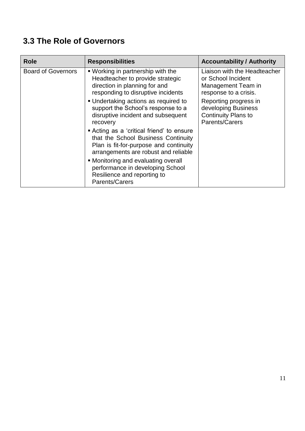## **3.3 The Role of Governors**

| <b>Role</b>               | <b>Responsibilities</b>                                                                                                                                                                                                    | <b>Accountability / Authority</b>                                                                                                                 |
|---------------------------|----------------------------------------------------------------------------------------------------------------------------------------------------------------------------------------------------------------------------|---------------------------------------------------------------------------------------------------------------------------------------------------|
| <b>Board of Governors</b> | . Working in partnership with the<br>Headteacher to provide strategic<br>direction in planning for and<br>responding to disruptive incidents<br>• Undertaking actions as required to<br>support the School's response to a | Liaison with the Headteacher<br>or School Incident<br>Management Team in<br>response to a crisis.<br>Reporting progress in<br>developing Business |
|                           | disruptive incident and subsequent<br>recovery                                                                                                                                                                             | <b>Continuity Plans to</b><br>Parents/Carers                                                                                                      |
|                           | Acting as a 'critical friend' to ensure<br>that the School Business Continuity<br>Plan is fit-for-purpose and continuity<br>arrangements are robust and reliable                                                           |                                                                                                                                                   |
|                           | • Monitoring and evaluating overall<br>performance in developing School<br>Resilience and reporting to<br>Parents/Carers                                                                                                   |                                                                                                                                                   |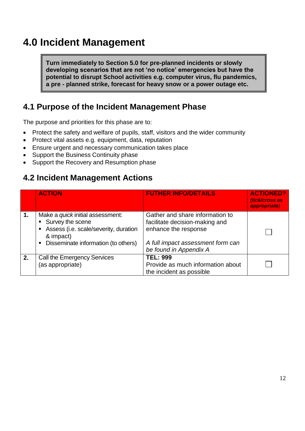## **4.0 Incident Management**

**Turn immediately to Section 5.0 for pre-planned incidents or slowly developing scenarios that are not 'no notice' emergencies but have the potential to disrupt School activities e.g. computer virus, flu pandemics, a pre - planned strike, forecast for heavy snow or a power outage etc.**

### **4.1 Purpose of the Incident Management Phase**

The purpose and priorities for this phase are to:

- Protect the safety and welfare of pupils, staff, visitors and the wider community
- Protect vital assets e.g. equipment, data, reputation
- Ensure urgent and necessary communication takes place
- Support the Business Continuity phase
- Support the Recovery and Resumption phase

### **4.2 Incident Management Actions**

|                | <b>ACTION</b>                                                                                                                                                | <b>FUTHER INFO/DETAILS</b>                                                                                                                               | <b>ACTIONED?</b><br>(tick/cross as<br>appropriate) |
|----------------|--------------------------------------------------------------------------------------------------------------------------------------------------------------|----------------------------------------------------------------------------------------------------------------------------------------------------------|----------------------------------------------------|
| $\mathbf{1}$ . | Make a <i>quick</i> initial assessment:<br>• Survey the scene<br>Assess (i.e. scale/severity, duration<br>& impact)<br>• Disseminate information (to others) | Gather and share information to<br>facilitate decision-making and<br>enhance the response<br>A full impact assessment form can<br>be found in Appendix A |                                                    |
| 2.             | Call the Emergency Services<br>(as appropriate)                                                                                                              | <b>TEL: 999</b><br>Provide as much information about<br>the incident as possible                                                                         |                                                    |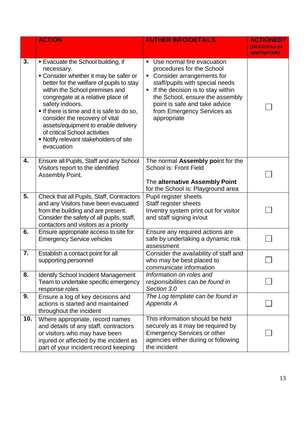|     | <b>ACTION</b>                                                                                                                                                                                                                                                                                                                                                                                                                                       | <b>FUTHER INFO/DETAILS</b>                                                                                                                                                                                                                                                                      | <b>ACTIONED?</b><br>(tick/cross as<br>appropriate) |
|-----|-----------------------------------------------------------------------------------------------------------------------------------------------------------------------------------------------------------------------------------------------------------------------------------------------------------------------------------------------------------------------------------------------------------------------------------------------------|-------------------------------------------------------------------------------------------------------------------------------------------------------------------------------------------------------------------------------------------------------------------------------------------------|----------------------------------------------------|
| 3.  | <b>Evacuate the School building, if</b><br>necessary.<br>• Consider whether it may be safer or<br>better for the welfare of pupils to stay<br>within the School premises and<br>congregate at a relative place of<br>safety indoors.<br>If there is time and it is safe to do so,<br>consider the recovery of vital<br>assets/equipment to enable delivery<br>of critical School activities<br>• Notify relevant stakeholders of site<br>evacuation | Use normal fire evacuation<br>$\blacksquare$<br>procedures for the School<br>Consider arrangements for<br>staff/pupils with special needs<br>If the decision is to stay within<br>the School, ensure the assembly<br>point is safe and take advice<br>from Emergency Services as<br>appropriate |                                                    |
| 4.  | Ensure all Pupils, Staff and any School<br>Visitors report to the identified<br>Assembly Point.                                                                                                                                                                                                                                                                                                                                                     | The normal Assembly point for the<br><b>School is: Front Field</b><br>The alternative Assembly Point<br>for the School is: Playground area                                                                                                                                                      |                                                    |
| 5.  | Check that all Pupils, Staff, Contractors<br>and any Visitors have been evacuated<br>from the building and are present.<br>Consider the safety of all pupils, staff,<br>contactors and visitors as a priority                                                                                                                                                                                                                                       | Pupil register sheets<br>Staff register sheets<br>Inventry system print out for visitor<br>and staff signing in/out                                                                                                                                                                             |                                                    |
| 6.  | Ensure appropriate access to site for<br><b>Emergency Service vehicles</b>                                                                                                                                                                                                                                                                                                                                                                          | Ensure any required actions are<br>safe by undertaking a dynamic risk<br>assessment                                                                                                                                                                                                             |                                                    |
| 7.  | Establish a contact point for all<br>supporting personnel                                                                                                                                                                                                                                                                                                                                                                                           | Consider the availability of staff and<br>who may be best placed to<br>communicate information                                                                                                                                                                                                  |                                                    |
| 8.  | <b>Identify School Incident Management</b><br>Team to undertake specific emergency<br>response roles                                                                                                                                                                                                                                                                                                                                                | Information on roles and<br>responsibilities can be found in<br>Section 3.0                                                                                                                                                                                                                     |                                                    |
| 9.  | Ensure a log of key decisions and<br>actions is started and maintained<br>throughout the incident                                                                                                                                                                                                                                                                                                                                                   | The Log template can be found in<br><b>Appendix A</b>                                                                                                                                                                                                                                           |                                                    |
| 10. | Where appropriate, record names<br>and details of any staff, contractors<br>or visitors who may have been<br>injured or affected by the incident as<br>part of your incident record keeping                                                                                                                                                                                                                                                         | This information should be held<br>securely as it may be required by<br><b>Emergency Services or other</b><br>agencies either during or following<br>the incident                                                                                                                               |                                                    |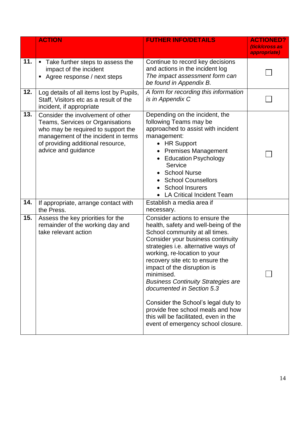|     | <b>ACTION</b>                                                                                                                                                                                                  | <b>FUTHER INFO/DETAILS</b>                                                                                                                                                                                                                                                                                                                                                                                                                                                                                                                | <b>ACTIONED?</b><br>(tick/cross as<br>appropriate) |
|-----|----------------------------------------------------------------------------------------------------------------------------------------------------------------------------------------------------------------|-------------------------------------------------------------------------------------------------------------------------------------------------------------------------------------------------------------------------------------------------------------------------------------------------------------------------------------------------------------------------------------------------------------------------------------------------------------------------------------------------------------------------------------------|----------------------------------------------------|
| 11. | Take further steps to assess the<br>$\blacksquare$<br>impact of the incident<br>Agree response / next steps                                                                                                    | Continue to record key decisions<br>and actions in the incident log<br>The impact assessment form can<br>be found in Appendix B.                                                                                                                                                                                                                                                                                                                                                                                                          |                                                    |
| 12. | Log details of all items lost by Pupils,<br>Staff, Visitors etc as a result of the<br>incident, if appropriate                                                                                                 | A form for recording this information<br>is in Appendix C                                                                                                                                                                                                                                                                                                                                                                                                                                                                                 |                                                    |
| 13. | Consider the involvement of other<br>Teams, Services or Organisations<br>who may be required to support the<br>management of the incident in terms<br>of providing additional resource,<br>advice and guidance | Depending on the incident, the<br>following Teams may be<br>approached to assist with incident<br>management:<br>• HR Support<br>• Premises Management<br>• Education Psychology<br>Service<br>• School Nurse<br><b>School Counsellors</b><br><b>School Insurers</b><br><b>LA Critical Incident Team</b>                                                                                                                                                                                                                                  |                                                    |
| 14. | If appropriate, arrange contact with<br>the Press.                                                                                                                                                             | Establish a media area if<br>necessary.                                                                                                                                                                                                                                                                                                                                                                                                                                                                                                   |                                                    |
| 15. | Assess the key priorities for the<br>remainder of the working day and<br>take relevant action                                                                                                                  | Consider actions to ensure the<br>health, safety and well-being of the<br>School community at all times.<br>Consider your business continuity<br>strategies i.e. alternative ways of<br>working, re-location to your<br>recovery site etc to ensure the<br>impact of the disruption is<br>minimised.<br><b>Business Continuity Strategies are</b><br>documented in Section 5.3<br>Consider the School's legal duty to<br>provide free school meals and how<br>this will be facilitated, even in the<br>event of emergency school closure. |                                                    |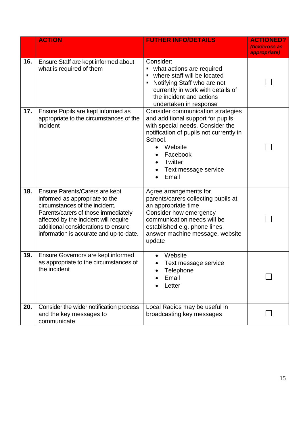|     | <b>ACTION</b>                                                                                                                                                                                                                                                        | <b>FUTHER INFO/DETAILS</b>                                                                                                                                                                                                          | <b>ACTIONED?</b><br>(tick/cross as<br>appropriate) |
|-----|----------------------------------------------------------------------------------------------------------------------------------------------------------------------------------------------------------------------------------------------------------------------|-------------------------------------------------------------------------------------------------------------------------------------------------------------------------------------------------------------------------------------|----------------------------------------------------|
| 16. | Ensure Staff are kept informed about<br>what is required of them                                                                                                                                                                                                     | Consider:<br>what actions are required<br>where staff will be located<br>Notifying Staff who are not<br>currently in work with details of<br>the incident and actions<br>undertaken in response                                     |                                                    |
| 17. | Ensure Pupils are kept informed as<br>appropriate to the circumstances of the<br>incident                                                                                                                                                                            | Consider communication strategies<br>and additional support for pupils<br>with special needs. Consider the<br>notification of pupils not currently in<br>School.<br>Website<br>Facebook<br>Twitter<br>Text message service<br>Email |                                                    |
| 18. | Ensure Parents/Carers are kept<br>informed as appropriate to the<br>circumstances of the incident.<br>Parents/carers of those immediately<br>affected by the incident will require<br>additional considerations to ensure<br>information is accurate and up-to-date. | Agree arrangements for<br>parents/carers collecting pupils at<br>an appropriate time<br>Consider how emergency<br>communication needs will be<br>established e.g. phone lines,<br>answer machine message, website<br>update         |                                                    |
| 19. | Ensure Governors are kept informed<br>as appropriate to the circumstances of<br>the incident                                                                                                                                                                         | Website<br>Text message service<br>Telephone<br>Email<br>Letter                                                                                                                                                                     |                                                    |
| 20. | Consider the wider notification process<br>and the key messages to<br>communicate                                                                                                                                                                                    | Local Radios may be useful in<br>broadcasting key messages                                                                                                                                                                          |                                                    |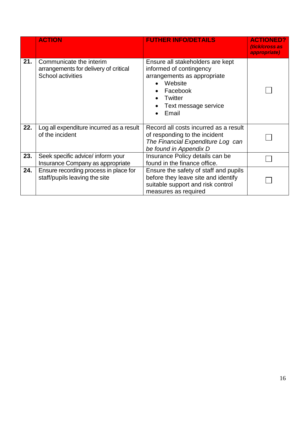|     | <b>ACTION</b>                                                                                | <b>FUTHER INFO/DETAILS</b>                                                                                                                                           | <b>ACTIONED?</b><br><i><b>(tick/cross as</b></i><br>appropriate) |
|-----|----------------------------------------------------------------------------------------------|----------------------------------------------------------------------------------------------------------------------------------------------------------------------|------------------------------------------------------------------|
| 21. | Communicate the interim<br>arrangements for delivery of critical<br><b>School activities</b> | Ensure all stakeholders are kept<br>informed of contingency<br>arrangements as appropriate<br>Website<br>Facebook<br><b>Twitter</b><br>Text message service<br>Email |                                                                  |
| 22. | Log all expenditure incurred as a result<br>of the incident                                  | Record all costs incurred as a result<br>of responding to the incident<br>The Financial Expenditure Log can<br>be found in Appendix D                                |                                                                  |
| 23. | Seek specific advice/ inform your<br>Insurance Company as appropriate                        | Insurance Policy details can be<br>found in the finance office.                                                                                                      |                                                                  |
| 24. | Ensure recording process in place for<br>staff/pupils leaving the site                       | Ensure the safety of staff and pupils<br>before they leave site and identify<br>suitable support and risk control<br>measures as required                            |                                                                  |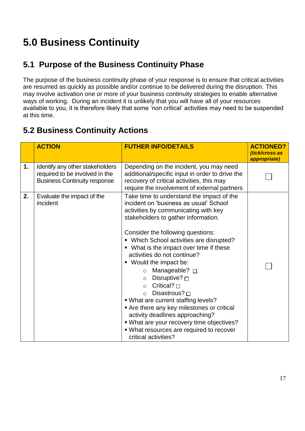# **5.0 Business Continuity**

## **5.1 Purpose of the Business Continuity Phase**

The purpose of the business continuity phase of your response is to ensure that critical activities are resumed as quickly as possible and/or continue to be delivered during the disruption. This may involve activation one or more of your business continuity strategies to enable alternative ways of working. During an incident it is unlikely that you will have all of your resources available to you, it is therefore likely that some 'non critical' activities may need to be suspended at this time.

## **5.2 Business Continuity Actions**

|    | <b>ACTION</b>                                                                                            | <b>FUTHER INFO/DETAILS</b>                                                                                                                                                                                                                                                                                                                                                                                                                                                                                                                                                                                                                                                                                                  | <b>ACTIONED?</b><br>(tick/cross as<br>appropriate) |
|----|----------------------------------------------------------------------------------------------------------|-----------------------------------------------------------------------------------------------------------------------------------------------------------------------------------------------------------------------------------------------------------------------------------------------------------------------------------------------------------------------------------------------------------------------------------------------------------------------------------------------------------------------------------------------------------------------------------------------------------------------------------------------------------------------------------------------------------------------------|----------------------------------------------------|
| 1. | Identify any other stakeholders<br>required to be involved in the<br><b>Business Continuity response</b> | Depending on the incident, you may need<br>additional/specific input in order to drive the<br>recovery of critical activities, this may<br>require the involvement of external partners                                                                                                                                                                                                                                                                                                                                                                                                                                                                                                                                     |                                                    |
| 2. | Evaluate the impact of the<br>incident                                                                   | Take time to understand the impact of the<br>incident on 'business as usual' School<br>activities by communicating with key<br>stakeholders to gather information.<br>Consider the following questions:<br>• Which School activities are disrupted?<br>• What is the impact over time if these<br>activities do not continue?<br>■ Would the impact be:<br>Manageable? □<br>$\circ$<br>Disruptive? $\square$<br>$\circ$<br>$\circ$ Critical? $\Box$<br>Disastrous? $\Box$<br>$\circ$<br>• What are current staffing levels?<br>Are there any key milestones or critical<br>activity deadlines approaching?<br>. What are your recovery time objectives?<br>• What resources are required to recover<br>critical activities? |                                                    |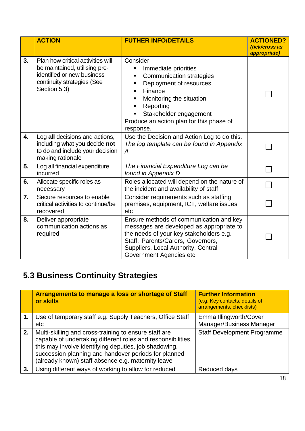|    | <b>ACTION</b>                                                                                                                                  | <b>FUTHER INFO/DETAILS</b>                                                                                                                                                                                                                  | <b>ACTIONED?</b><br>(tick/cross as<br>appropriate) |
|----|------------------------------------------------------------------------------------------------------------------------------------------------|---------------------------------------------------------------------------------------------------------------------------------------------------------------------------------------------------------------------------------------------|----------------------------------------------------|
| 3. | Plan how critical activities will<br>be maintained, utilising pre-<br>identified or new business<br>continuity strategies (See<br>Section 5.3) | Consider:<br>Immediate priorities<br><b>Communication strategies</b><br>Deployment of resources<br>Finance<br>٠<br>Monitoring the situation<br>Reporting<br>Stakeholder engagement<br>Produce an action plan for this phase of<br>response. |                                                    |
| 4. | Log all decisions and actions,<br>including what you decide not<br>to do and include your decision<br>making rationale                         | Use the Decision and Action Log to do this.<br>The log template can be found in Appendix<br>$\overline{A}$                                                                                                                                  |                                                    |
| 5. | Log all financial expenditure<br>incurred                                                                                                      | The Financial Expenditure Log can be<br>found in Appendix D                                                                                                                                                                                 |                                                    |
| 6. | Allocate specific roles as<br>necessary                                                                                                        | Roles allocated will depend on the nature of<br>the incident and availability of staff                                                                                                                                                      |                                                    |
| 7. | Secure resources to enable<br>critical activities to continue/be<br>recovered                                                                  | Consider requirements such as staffing,<br>premises, equipment, ICT, welfare issues<br>etc                                                                                                                                                  |                                                    |
| 8. | Deliver appropriate<br>communication actions as<br>required                                                                                    | Ensure methods of communication and key<br>messages are developed as appropriate to<br>the needs of your key stakeholders e.g.<br>Staff, Parents/Carers, Governors,<br>Suppliers, Local Authority, Central<br>Government Agencies etc.      |                                                    |

## **5.3 Business Continuity Strategies**

|    | <b>Arrangements to manage a loss or shortage of Staff</b><br>or skills                                                                                                                                                                                                                       | <b>Further Information</b><br>(e.g. Key contacts, details of<br>arrangements, checklists) |
|----|----------------------------------------------------------------------------------------------------------------------------------------------------------------------------------------------------------------------------------------------------------------------------------------------|-------------------------------------------------------------------------------------------|
|    | Use of temporary staff e.g. Supply Teachers, Office Staff<br>etc                                                                                                                                                                                                                             | Emma Illingworth/Cover<br>Manager/Business Manager                                        |
| 2. | Multi-skilling and cross-training to ensure staff are<br>capable of undertaking different roles and responsibilities,<br>this may involve identifying deputies, job shadowing,<br>succession planning and handover periods for planned<br>(already known) staff absence e.g. maternity leave | <b>Staff Development Programme</b>                                                        |
| 3. | Using different ways of working to allow for reduced                                                                                                                                                                                                                                         | Reduced days                                                                              |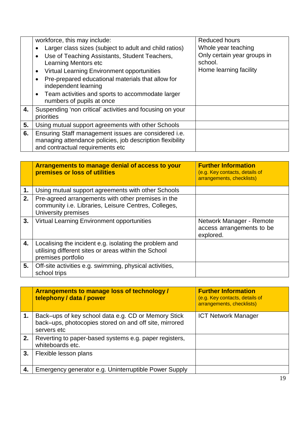|    | workforce, this may include:                                                                                                                          | <b>Reduced hours</b>                                             |
|----|-------------------------------------------------------------------------------------------------------------------------------------------------------|------------------------------------------------------------------|
|    | Larger class sizes (subject to adult and child ratios)                                                                                                | Whole year teaching                                              |
|    | Use of Teaching Assistants, Student Teachers,<br>$\bullet$<br>Learning Mentors etc<br>Virtual Learning Environment opportunities                      | Only certain year groups in<br>school.<br>Home learning facility |
|    | ٠<br>Pre-prepared educational materials that allow for<br>$\bullet$<br>independent learning                                                           |                                                                  |
|    | Team activities and sports to accommodate larger<br>$\bullet$<br>numbers of pupils at once                                                            |                                                                  |
| 4. | Suspending 'non critical' activities and focusing on your<br>priorities                                                                               |                                                                  |
| 5. | Using mutual support agreements with other Schools                                                                                                    |                                                                  |
| 6. | Ensuring Staff management issues are considered i.e.<br>managing attendance policies, job description flexibility<br>and contractual requirements etc |                                                                  |

|    | Arrangements to manage denial of access to your<br>premises or loss of utilities                                                     | <b>Further Information</b><br>(e.g. Key contacts, details of<br>arrangements, checklists) |
|----|--------------------------------------------------------------------------------------------------------------------------------------|-------------------------------------------------------------------------------------------|
| 1. | Using mutual support agreements with other Schools                                                                                   |                                                                                           |
| 2. | Pre-agreed arrangements with other premises in the<br>community i.e. Libraries, Leisure Centres, Colleges,<br>University premises    |                                                                                           |
| 3. | Virtual Learning Environment opportunities                                                                                           | Network Manager - Remote<br>access arrangements to be<br>explored.                        |
| 4. | Localising the incident e.g. isolating the problem and<br>utilising different sites or areas within the School<br>premises portfolio |                                                                                           |
| 5. | Off-site activities e.g. swimming, physical activities,<br>school trips                                                              |                                                                                           |

|    | <b>Arrangements to manage loss of technology /</b><br>telephony / data / power                                               | <b>Further Information</b><br>(e.g. Key contacts, details of<br>arrangements, checklists) |
|----|------------------------------------------------------------------------------------------------------------------------------|-------------------------------------------------------------------------------------------|
|    | Back-ups of key school data e.g. CD or Memory Stick<br>back-ups, photocopies stored on and off site, mirrored<br>servers etc | <b>ICT Network Manager</b>                                                                |
| 2. | Reverting to paper-based systems e.g. paper registers,<br>whiteboards etc.                                                   |                                                                                           |
| 3. | Flexible lesson plans                                                                                                        |                                                                                           |
|    | Emergency generator e.g. Uninterruptible Power Supply                                                                        |                                                                                           |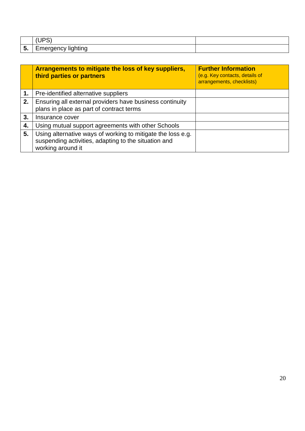| ., | -<br>. . |  |
|----|----------|--|

|    | Arrangements to mitigate the loss of key suppliers,<br>third parties or partners                                                         | <b>Further Information</b><br>(e.g. Key contacts, details of<br>arrangements, checklists) |
|----|------------------------------------------------------------------------------------------------------------------------------------------|-------------------------------------------------------------------------------------------|
| 1. | Pre-identified alternative suppliers                                                                                                     |                                                                                           |
| 2. | Ensuring all external providers have business continuity<br>plans in place as part of contract terms                                     |                                                                                           |
| 3. | Insurance cover                                                                                                                          |                                                                                           |
| 4. | Using mutual support agreements with other Schools                                                                                       |                                                                                           |
| 5. | Using alternative ways of working to mitigate the loss e.g.<br>suspending activities, adapting to the situation and<br>working around it |                                                                                           |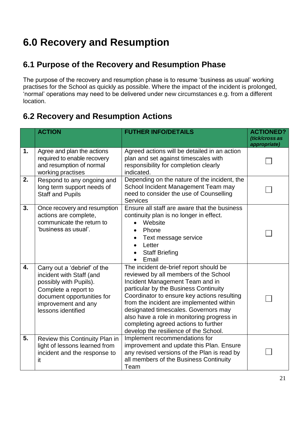# **6.0 Recovery and Resumption**

## **6.1 Purpose of the Recovery and Resumption Phase**

The purpose of the recovery and resumption phase is to resume 'business as usual' working practises for the School as quickly as possible. Where the impact of the incident is prolonged, 'normal' operations may need to be delivered under new circumstances e.g. from a different location.

## **6.2 Recovery and Resumption Actions**

|    | <b>ACTION</b>                                                                                                                                                                         | <b>FUTHER INFO/DETAILS</b>                                                                                                                                                                                                                                                                                                                                                                                                    | <b>ACTIONED?</b><br>(tick/cross as<br>appropriate) |
|----|---------------------------------------------------------------------------------------------------------------------------------------------------------------------------------------|-------------------------------------------------------------------------------------------------------------------------------------------------------------------------------------------------------------------------------------------------------------------------------------------------------------------------------------------------------------------------------------------------------------------------------|----------------------------------------------------|
| 1. | Agree and plan the actions<br>required to enable recovery<br>and resumption of normal<br>working practises                                                                            | Agreed actions will be detailed in an action<br>plan and set against timescales with<br>responsibility for completion clearly<br>indicated.                                                                                                                                                                                                                                                                                   |                                                    |
| 2. | Respond to any ongoing and<br>long term support needs of<br><b>Staff and Pupils</b>                                                                                                   | Depending on the nature of the incident, the<br>School Incident Management Team may<br>need to consider the use of Counselling<br><b>Services</b>                                                                                                                                                                                                                                                                             |                                                    |
| 3. | Once recovery and resumption<br>actions are complete,<br>communicate the return to<br>'business as usual'.                                                                            | Ensure all staff are aware that the business<br>continuity plan is no longer in effect.<br>Website<br>Phone<br>$\bullet$<br>Text message service<br>Letter<br><b>Staff Briefing</b><br>Email                                                                                                                                                                                                                                  |                                                    |
| 4. | Carry out a 'debrief' of the<br>incident with Staff (and<br>possibly with Pupils).<br>Complete a report to<br>document opportunities for<br>improvement and any<br>lessons identified | The incident de-brief report should be<br>reviewed by all members of the School<br>Incident Management Team and in<br>particular by the Business Continuity<br>Coordinator to ensure key actions resulting<br>from the incident are implemented within<br>designated timescales. Governors may<br>also have a role in monitoring progress in<br>completing agreed actions to further<br>develop the resilience of the School. |                                                    |
| 5. | Review this Continuity Plan in<br>light of lessons learned from<br>incident and the response to<br>it                                                                                 | Implement recommendations for<br>improvement and update this Plan. Ensure<br>any revised versions of the Plan is read by<br>all members of the Business Continuity<br>Team                                                                                                                                                                                                                                                    |                                                    |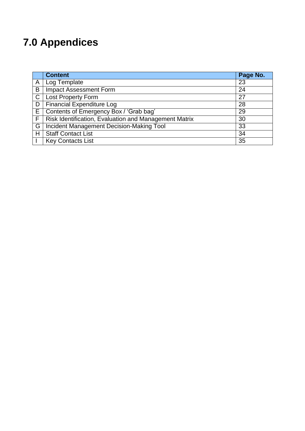# **7.0 Appendices**

|              | <b>Content</b>                                        | Page No. |
|--------------|-------------------------------------------------------|----------|
| A            | Log Template                                          | 23       |
| B            | <b>Impact Assessment Form</b>                         | 24       |
| $\mathsf{C}$ | <b>Lost Property Form</b>                             | 27       |
| D            | <b>Financial Expenditure Log</b>                      | 28       |
| E.           | Contents of Emergency Box / 'Grab bag'                | 29       |
| F            | Risk Identification, Evaluation and Management Matrix | 30       |
| G            | Incident Management Decision-Making Tool              | 33       |
| H            | <b>Staff Contact List</b>                             | 34       |
|              | <b>Key Contacts List</b>                              | 35       |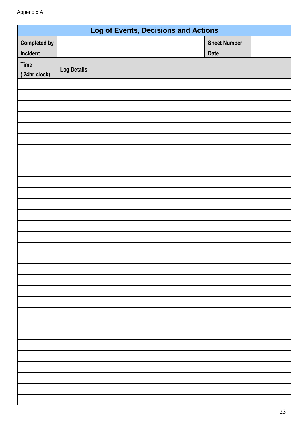| <b>Log of Events, Decisions and Actions</b> |                    |                     |  |
|---------------------------------------------|--------------------|---------------------|--|
| <b>Completed by</b>                         |                    | <b>Sheet Number</b> |  |
| Incident                                    |                    | <b>Date</b>         |  |
| <b>Time</b><br>(24hr clock)                 | <b>Log Details</b> |                     |  |
|                                             |                    |                     |  |
|                                             |                    |                     |  |
|                                             |                    |                     |  |
|                                             |                    |                     |  |
|                                             |                    |                     |  |
|                                             |                    |                     |  |
|                                             |                    |                     |  |
|                                             |                    |                     |  |
|                                             |                    |                     |  |
|                                             |                    |                     |  |
|                                             |                    |                     |  |
|                                             |                    |                     |  |
|                                             |                    |                     |  |
|                                             |                    |                     |  |
|                                             |                    |                     |  |
|                                             |                    |                     |  |
|                                             |                    |                     |  |
|                                             |                    |                     |  |
|                                             |                    |                     |  |
|                                             |                    |                     |  |
|                                             |                    |                     |  |
|                                             |                    |                     |  |
|                                             |                    |                     |  |
|                                             |                    |                     |  |
|                                             |                    |                     |  |
|                                             |                    |                     |  |
|                                             |                    |                     |  |
|                                             |                    |                     |  |
|                                             |                    |                     |  |
|                                             |                    |                     |  |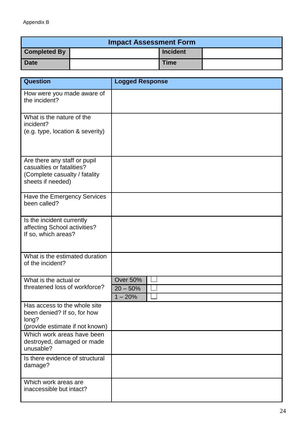#### Appendix B

| <b>Impact Assessment Form</b> |  |                 |  |
|-------------------------------|--|-----------------|--|
| <b>Completed By</b>           |  | <b>Incident</b> |  |
| Date                          |  | <b>Time</b>     |  |

| <b>Question</b>                                                                                                 | <b>Logged Response</b>                     |
|-----------------------------------------------------------------------------------------------------------------|--------------------------------------------|
| How were you made aware of<br>the incident?                                                                     |                                            |
| What is the nature of the<br>incident?<br>(e.g. type, location & severity)                                      |                                            |
| Are there any staff or pupil<br>casualties or fatalities?<br>(Complete casualty / fatality<br>sheets if needed) |                                            |
| Have the Emergency Services<br>been called?                                                                     |                                            |
| Is the incident currently<br>affecting School activities?<br>If so, which areas?                                |                                            |
| What is the estimated duration<br>of the incident?                                                              |                                            |
| What is the actual or<br>threatened loss of workforce?                                                          | <b>Over 50%</b><br>$20 - 50%$<br>$1 - 20%$ |
| Has access to the whole site<br>been denied? If so, for how<br>long?<br>(provide estimate if not known)         |                                            |
| Which work areas have been<br>destroyed, damaged or made<br>unusable?                                           |                                            |
| Is there evidence of structural<br>damage?                                                                      |                                            |
| Which work areas are<br>inaccessible but intact?                                                                |                                            |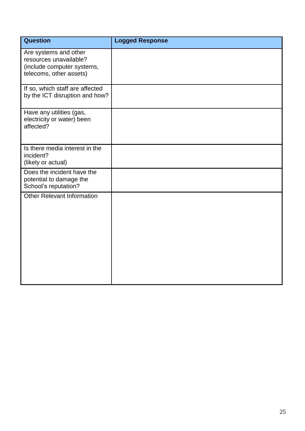| <b>Question</b>                                                                                          | <b>Logged Response</b> |
|----------------------------------------------------------------------------------------------------------|------------------------|
| Are systems and other<br>resources unavailable?<br>(include computer systems,<br>telecoms, other assets) |                        |
| If so, which staff are affected<br>by the ICT disruption and how?                                        |                        |
| Have any utilities (gas,<br>electricity or water) been<br>affected?                                      |                        |
| Is there media interest in the<br>incident?<br>(likely or actual)                                        |                        |
| Does the incident have the<br>potential to damage the<br>School's reputation?                            |                        |
| <b>Other Relevant Information</b>                                                                        |                        |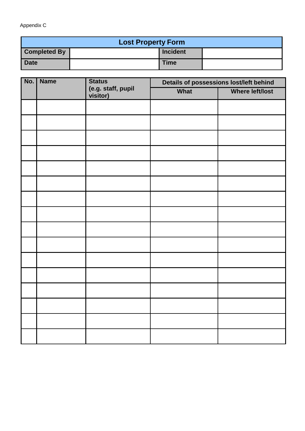Appendix C

| <b>Lost Property Form</b> |  |                 |  |
|---------------------------|--|-----------------|--|
| <b>Completed By</b>       |  | <b>Incident</b> |  |
| <b>Date</b>               |  | <b>Time</b>     |  |

| No. | <b>Name</b> | <b>Status</b>                  |      | Details of possessions lost/left behind |
|-----|-------------|--------------------------------|------|-----------------------------------------|
|     |             | (e.g. staff, pupil<br>visitor) | What | <b>Where left/lost</b>                  |
|     |             |                                |      |                                         |
|     |             |                                |      |                                         |
|     |             |                                |      |                                         |
|     |             |                                |      |                                         |
|     |             |                                |      |                                         |
|     |             |                                |      |                                         |
|     |             |                                |      |                                         |
|     |             |                                |      |                                         |
|     |             |                                |      |                                         |
|     |             |                                |      |                                         |
|     |             |                                |      |                                         |
|     |             |                                |      |                                         |
|     |             |                                |      |                                         |
|     |             |                                |      |                                         |
|     |             |                                |      |                                         |
|     |             |                                |      |                                         |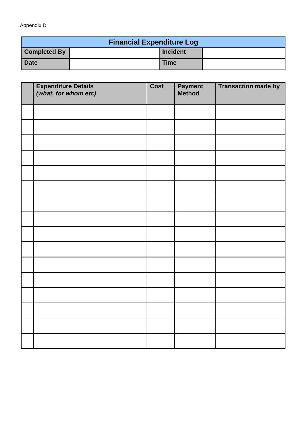#### Appendix D

| <b>Financial Expenditure Log</b> |  |                 |  |
|----------------------------------|--|-----------------|--|
| <b>Completed By</b>              |  | <b>Incident</b> |  |
| <b>Date</b>                      |  | <b>Time</b>     |  |

| <b>Expenditure Details</b><br>(what, for whom etc) | Cost | <b>Payment</b><br>Method | <b>Transaction made by</b> |
|----------------------------------------------------|------|--------------------------|----------------------------|
|                                                    |      |                          |                            |
|                                                    |      |                          |                            |
|                                                    |      |                          |                            |
|                                                    |      |                          |                            |
|                                                    |      |                          |                            |
|                                                    |      |                          |                            |
|                                                    |      |                          |                            |
|                                                    |      |                          |                            |
|                                                    |      |                          |                            |
|                                                    |      |                          |                            |
|                                                    |      |                          |                            |
|                                                    |      |                          |                            |
|                                                    |      |                          |                            |
|                                                    |      |                          |                            |
|                                                    |      |                          |                            |
|                                                    |      |                          |                            |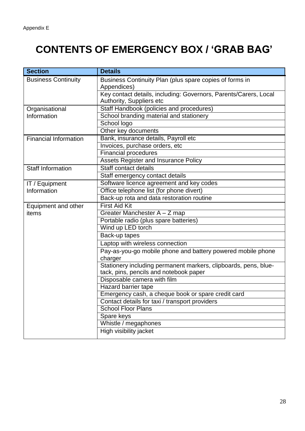# **CONTENTS OF EMERGENCY BOX / 'GRAB BAG'**

| <b>Section</b>               | <b>Details</b>                                                         |
|------------------------------|------------------------------------------------------------------------|
| <b>Business Continuity</b>   | Business Continuity Plan (plus spare copies of forms in<br>Appendices) |
|                              | Key contact details, including: Governors, Parents/Carers, Local       |
|                              | Authority, Suppliers etc                                               |
| Organisational               | Staff Handbook (policies and procedures)                               |
| Information                  | School branding material and stationery                                |
|                              | School logo                                                            |
|                              | Other key documents                                                    |
| <b>Financial Information</b> | Bank, insurance details, Payroll etc                                   |
|                              | Invoices, purchase orders, etc                                         |
|                              | <b>Financial procedures</b>                                            |
|                              | Assets Register and Insurance Policy                                   |
| <b>Staff Information</b>     | Staff contact details                                                  |
|                              | Staff emergency contact details                                        |
| IT / Equipment               | Software licence agreement and key codes                               |
| Information                  | Office telephone list (for phone divert)                               |
|                              | Back-up rota and data restoration routine                              |
| Equipment and other          | <b>First Aid Kit</b>                                                   |
| items                        | Greater Manchester A - Z map                                           |
|                              | Portable radio (plus spare batteries)                                  |
|                              | Wind up LED torch                                                      |
|                              | Back-up tapes                                                          |
|                              | Laptop with wireless connection                                        |
|                              | Pay-as-you-go mobile phone and battery powered mobile phone            |
|                              | charger                                                                |
|                              | Stationery including permanent markers, clipboards, pens, blue-        |
|                              | tack, pins, pencils and notebook paper                                 |
|                              | Disposable camera with film                                            |
|                              | <b>Hazard barrier tape</b>                                             |
|                              | Emergency cash, a cheque book or spare credit card                     |
|                              | Contact details for taxi / transport providers                         |
|                              | <b>School Floor Plans</b>                                              |
|                              | Spare keys                                                             |
|                              | Whistle / megaphones                                                   |
|                              | High visibility jacket                                                 |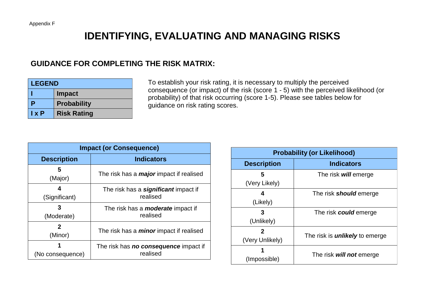## **IDENTIFYING, EVALUATING AND MANAGING RISKS**

### **GUIDANCE FOR COMPLETING THE RISK MATRIX:**

| <b>LEGEND</b> |                    |  |
|---------------|--------------------|--|
|               | <b>Impact</b>      |  |
| p             | <b>Probability</b> |  |
| $l \times P$  | <b>Risk Rating</b> |  |

To establish your risk rating, it is necessary to multiply the perceived consequence (or impact) of the risk (score 1 - 5) with the perceived likelihood (or probability) of that risk occurring (score 1-5). Please see tables below for guidance on risk rating scores.

| <b>Impact (or Consequence)</b> |                                                          |  |
|--------------------------------|----------------------------------------------------------|--|
| <b>Description</b>             | <b>Indicators</b>                                        |  |
| 5<br>(Major)                   | The risk has a <i>major</i> impact if realised           |  |
| 4<br>(Significant)             | The risk has a <b>significant</b> impact if<br>realised  |  |
| (Moderate)                     | The risk has a <b>moderate</b> impact if<br>realised     |  |
| 2<br>(Minor)                   | The risk has a <i>minor</i> impact if realised           |  |
| (No consequence)               | The risk has <b>no consequence</b> impact if<br>realised |  |

| <b>Probability (or Likelihood)</b> |                                       |  |
|------------------------------------|---------------------------------------|--|
| <b>Description</b>                 | <b>Indicators</b>                     |  |
| 5<br>(Very Likely)                 | The risk will emerge                  |  |
| 4<br>(Likely)                      | The risk <b>should</b> emerge         |  |
| 3<br>(Unlikely)                    | The risk <b>could</b> emerge          |  |
| 2<br>(Very Unlikely)               | The risk is <i>unlikely</i> to emerge |  |
| (Impossible)                       | The risk will not emerge              |  |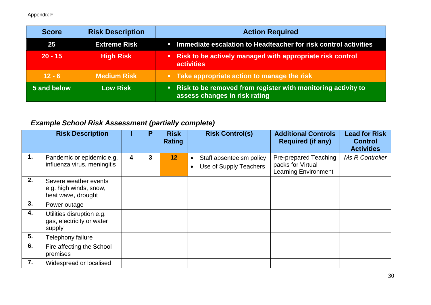Appendix F

| <b>Score</b> | <b>Risk Description</b> | <b>Action Required</b>                                                                          |
|--------------|-------------------------|-------------------------------------------------------------------------------------------------|
| 25           | <b>Extreme Risk</b>     | <b>EXECUTE:</b> Immediate escalation to Headteacher for risk control activities                 |
| $20 - 15$    | <b>High Risk</b>        | • Risk to be actively managed with appropriate risk control<br>activities                       |
| $12 - 6$     | <b>Medium Risk</b>      | • Take appropriate action to manage the risk                                                    |
| 5 and below  | <b>Low Risk</b>         | • Risk to be removed from register with monitoring activity to<br>assess changes in risk rating |

## *Example School Risk Assessment (partially complete)*

|    | <b>Risk Description</b>                                               |   | Р | <b>Risk</b><br>Rating | <b>Risk Control(s)</b>                                          | <b>Additional Controls</b><br><b>Required (if any)</b>                           | <b>Lead for Risk</b><br><b>Control</b><br><b>Activities</b> |
|----|-----------------------------------------------------------------------|---|---|-----------------------|-----------------------------------------------------------------|----------------------------------------------------------------------------------|-------------------------------------------------------------|
| 1. | Pandemic or epidemic e.g.<br>influenza virus, meningitis              | 4 | 3 | 12 <sup>2</sup>       | Staff absenteeism policy<br>$\bullet$<br>Use of Supply Teachers | <b>Pre-prepared Teaching</b><br>packs for Virtual<br><b>Learning Environment</b> | Ms R Controller                                             |
| 2. | Severe weather events<br>e.g. high winds, snow,<br>heat wave, drought |   |   |                       |                                                                 |                                                                                  |                                                             |
| 3. | Power outage                                                          |   |   |                       |                                                                 |                                                                                  |                                                             |
| 4. | Utilities disruption e.g.<br>gas, electricity or water<br>supply      |   |   |                       |                                                                 |                                                                                  |                                                             |
| 5. | Telephony failure                                                     |   |   |                       |                                                                 |                                                                                  |                                                             |
| 6. | Fire affecting the School<br>premises                                 |   |   |                       |                                                                 |                                                                                  |                                                             |
| 7. | Widespread or localised                                               |   |   |                       |                                                                 |                                                                                  |                                                             |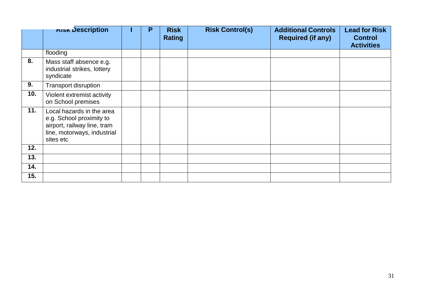|     | <b>NISK Description</b>                                                                                                          | P | <b>Risk</b><br><b>Rating</b> | <b>Risk Control(s)</b> | <b>Additional Controls</b><br><b>Required (if any)</b> | <b>Lead for Risk</b><br><b>Control</b><br><b>Activities</b> |
|-----|----------------------------------------------------------------------------------------------------------------------------------|---|------------------------------|------------------------|--------------------------------------------------------|-------------------------------------------------------------|
|     | flooding                                                                                                                         |   |                              |                        |                                                        |                                                             |
| 8.  | Mass staff absence e.g.<br>industrial strikes, lottery<br>syndicate                                                              |   |                              |                        |                                                        |                                                             |
| 9.  | <b>Transport disruption</b>                                                                                                      |   |                              |                        |                                                        |                                                             |
| 10. | Violent extremist activity<br>on School premises                                                                                 |   |                              |                        |                                                        |                                                             |
| 11. | Local hazards in the area<br>e.g. School proximity to<br>airport, railway line, tram<br>line, motorways, industrial<br>sites etc |   |                              |                        |                                                        |                                                             |
| 12. |                                                                                                                                  |   |                              |                        |                                                        |                                                             |
| 13. |                                                                                                                                  |   |                              |                        |                                                        |                                                             |
| 14. |                                                                                                                                  |   |                              |                        |                                                        |                                                             |
| 15. |                                                                                                                                  |   |                              |                        |                                                        |                                                             |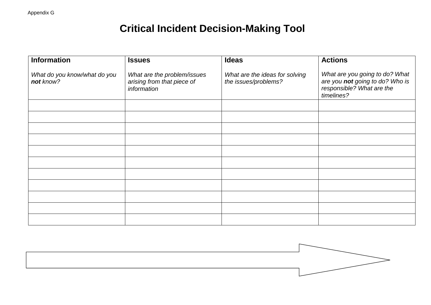# **Critical Incident Decision-Making Tool**

| <b>Information</b>                        | <b>Issues</b>                                                            | <b>Ideas</b>                                           | <b>Actions</b>                                                                                               |
|-------------------------------------------|--------------------------------------------------------------------------|--------------------------------------------------------|--------------------------------------------------------------------------------------------------------------|
| What do you know/what do you<br>not know? | What are the problem/issues<br>arising from that piece of<br>information | What are the ideas for solving<br>the issues/problems? | What are you going to do? What<br>are you not going to do? Who is<br>responsible? What are the<br>timelines? |
|                                           |                                                                          |                                                        |                                                                                                              |
|                                           |                                                                          |                                                        |                                                                                                              |
|                                           |                                                                          |                                                        |                                                                                                              |
|                                           |                                                                          |                                                        |                                                                                                              |
|                                           |                                                                          |                                                        |                                                                                                              |
|                                           |                                                                          |                                                        |                                                                                                              |
|                                           |                                                                          |                                                        |                                                                                                              |
|                                           |                                                                          |                                                        |                                                                                                              |
|                                           |                                                                          |                                                        |                                                                                                              |
|                                           |                                                                          |                                                        |                                                                                                              |
|                                           |                                                                          |                                                        |                                                                                                              |

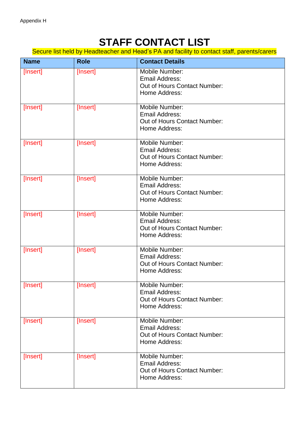## **STAFF CONTACT LIST**

Secure list held by Headteacher and Head's PA and facility to contact staff, parents/carers

| <b>Name</b> | <b>Role</b> | <b>Contact Details</b>                                                                   |
|-------------|-------------|------------------------------------------------------------------------------------------|
| [Insert]    | [Insert]    | Mobile Number:<br><b>Email Address:</b><br>Out of Hours Contact Number:<br>Home Address: |
| [Insert]    | [Insert]    | Mobile Number:<br><b>Email Address:</b><br>Out of Hours Contact Number:<br>Home Address: |
| [Insert]    | [Insert]    | Mobile Number:<br>Email Address:<br>Out of Hours Contact Number:<br>Home Address:        |
| [Insert]    | [Insert]    | Mobile Number:<br>Email Address:<br>Out of Hours Contact Number:<br>Home Address:        |
| [Insert]    | [Insert]    | Mobile Number:<br><b>Email Address:</b><br>Out of Hours Contact Number:<br>Home Address: |
| [Insert]    | [Insert]    | Mobile Number:<br>Email Address:<br>Out of Hours Contact Number:<br>Home Address:        |
| [Insert]    | [Insert]    | Mobile Number:<br>Email Address:<br>Out of Hours Contact Number:<br>Home Address:        |
| [Insert]    | [Insert]    | Mobile Number:<br><b>Email Address:</b><br>Out of Hours Contact Number:<br>Home Address: |
| [Insert]    | [Insert]    | Mobile Number:<br><b>Email Address:</b><br>Out of Hours Contact Number:<br>Home Address: |